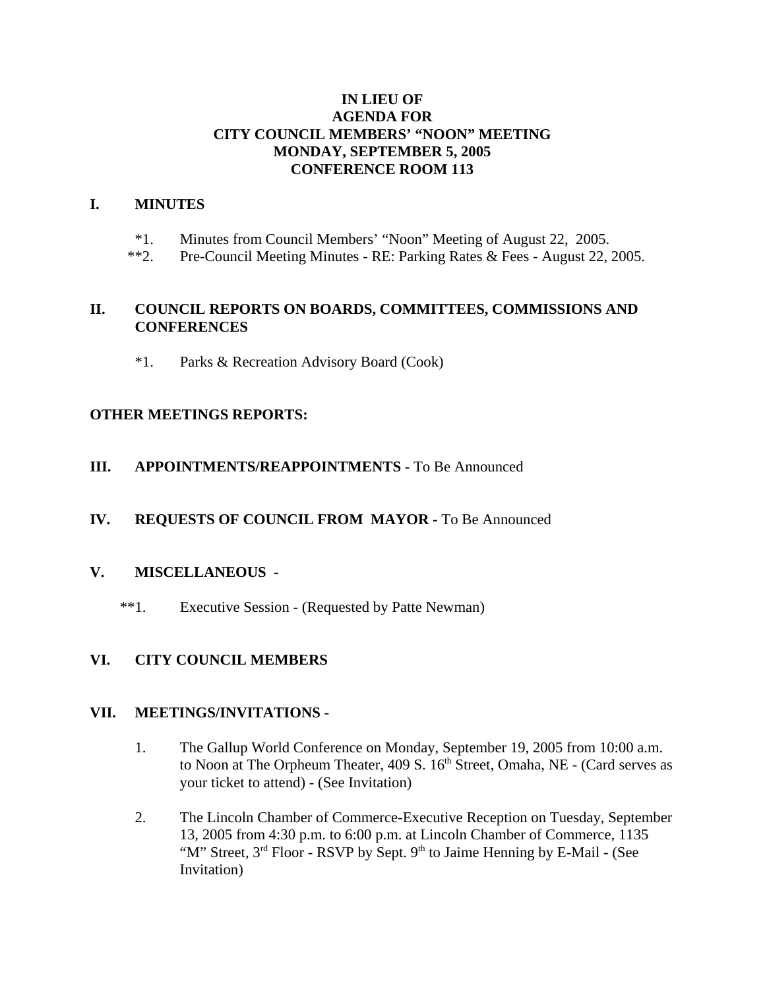## **IN LIEU OF AGENDA FOR CITY COUNCIL MEMBERS' "NOON" MEETING MONDAY, SEPTEMBER 5, 2005 CONFERENCE ROOM 113**

## **I. MINUTES**

- \*1. Minutes from Council Members' "Noon" Meeting of August 22, 2005.
- \*\*2. Pre-Council Meeting Minutes RE: Parking Rates & Fees August 22, 2005.

## **II. COUNCIL REPORTS ON BOARDS, COMMITTEES, COMMISSIONS AND CONFERENCES**

\*1. Parks & Recreation Advisory Board (Cook)

## **OTHER MEETINGS REPORTS:**

## **III.** APPOINTMENTS/REAPPOINTMENTS - To Be Announced

# **IV. REQUESTS OF COUNCIL FROM MAYOR -** To Be Announced

#### **V. MISCELLANEOUS -**

\*\*1. Executive Session - (Requested by Patte Newman)

# **VI. CITY COUNCIL MEMBERS**

#### **VII. MEETINGS/INVITATIONS -**

- 1. The Gallup World Conference on Monday, September 19, 2005 from 10:00 a.m. to Noon at The Orpheum Theater, 409 S. 16<sup>th</sup> Street, Omaha, NE - (Card serves as your ticket to attend) - (See Invitation)
- 2. The Lincoln Chamber of Commerce-Executive Reception on Tuesday, September 13, 2005 from 4:30 p.m. to 6:00 p.m. at Lincoln Chamber of Commerce, 1135 "M" Street,  $3<sup>rd</sup>$  Floor - RSVP by Sept.  $9<sup>th</sup>$  to Jaime Henning by E-Mail - (See Invitation)